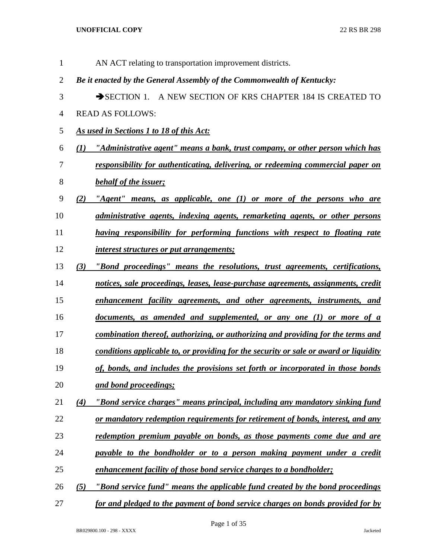| 1              |     | AN ACT relating to transportation improvement districts.                              |
|----------------|-----|---------------------------------------------------------------------------------------|
| $\overline{2}$ |     | Be it enacted by the General Assembly of the Commonwealth of Kentucky:                |
| 3              |     | SECTION 1. A NEW SECTION OF KRS CHAPTER 184 IS CREATED TO                             |
| 4              |     | <b>READ AS FOLLOWS:</b>                                                               |
| 5              |     | As used in Sections 1 to 18 of this Act:                                              |
| 6              |     | (1) "Administrative agent" means a bank, trust company, or other person which has     |
| 7              |     | responsibility for authenticating, delivering, or redeeming commercial paper on       |
| 8              |     | behalf of the issuer;                                                                 |
| 9              | (2) | "Agent" means, as applicable, one $(1)$ or more of the persons who are                |
| 10             |     | administrative agents, indexing agents, remarketing agents, or other persons          |
| 11             |     | having responsibility for performing functions with respect to floating rate          |
| 12             |     | <i>interest structures or put arrangements;</i>                                       |
| 13             | (3) | "Bond proceedings" means the resolutions, trust agreements, certifications,           |
| 14             |     | notices, sale proceedings, leases, lease-purchase agreements, assignments, credit     |
| 15             |     | enhancement facility agreements, and other agreements, instruments, and               |
| 16             |     | documents, as amended and supplemented, or any one (1) or more of a                   |
| 17             |     | combination thereof, authorizing, or authorizing and providing for the terms and      |
| 18             |     | conditions applicable to, or providing for the security or sale or award or liquidity |
| 19             |     | of, bonds, and includes the provisions set forth or incorporated in those bonds       |
| 20             |     | and bond proceedings;                                                                 |
| 21             | (4) | "Bond service charges" means principal, including any mandatory sinking fund          |
| 22             |     | or mandatory redemption requirements for retirement of bonds, interest, and any       |
| 23             |     | redemption premium payable on bonds, as those payments come due and are               |
| 24             |     | payable to the bondholder or to a person making payment under a credit                |
| 25             |     | enhancement facility of those bond service charges to a bondholder;                   |
| 26             | (5) | "Bond service fund" means the applicable fund created by the bond proceedings         |
| 27             |     | for and pledged to the payment of bond service charges on bonds provided for by       |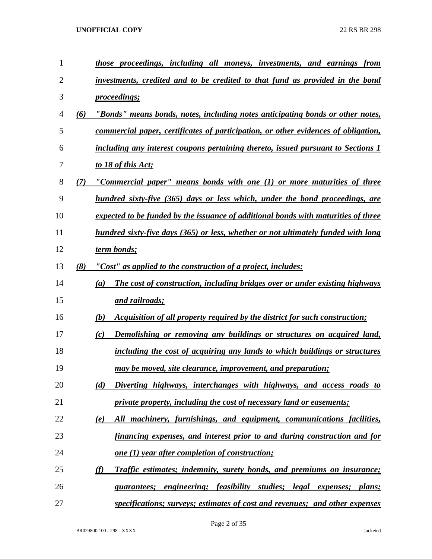| $\mathbf{1}$   |     | those proceedings, including all moneys, investments, and earnings from                    |
|----------------|-----|--------------------------------------------------------------------------------------------|
| $\overline{2}$ |     | investments, credited and to be credited to that fund as provided in the bond              |
| 3              |     | <i>proceedings;</i>                                                                        |
| 4              | (6) | "Bonds" means bonds, notes, including notes anticipating bonds or other notes,             |
| 5              |     | commercial paper, certificates of participation, or other evidences of obligation,         |
| 6              |     | including any interest coupons pertaining thereto, issued pursuant to Sections 1           |
| 7              |     | to 18 of this Act;                                                                         |
| 8              | (7) | "Commercial paper" means bonds with one (1) or more maturities of three                    |
| 9              |     | hundred sixty-five (365) days or less which, under the bond proceedings, are               |
| 10             |     | expected to be funded by the issuance of additional bonds with maturities of three         |
| 11             |     | hundred sixty-five days (365) or less, whether or not ultimately funded with long          |
| 12             |     | term bonds;                                                                                |
| 13             | (8) | "Cost" as applied to the construction of a project, includes:                              |
| 14             |     | The cost of construction, including bridges over or under existing highways<br>(a)         |
| 15             |     | and railroads;                                                                             |
| 16             |     | Acquisition of all property required by the district for such construction;<br>(b)         |
| 17             |     | Demolishing or removing any buildings or structures on acquired land,<br>(c)               |
| 18             |     | including the cost of acquiring any lands to which buildings or structures                 |
| 19             |     | may be moved, site clearance, improvement, and preparation;                                |
| 20             |     | Diverting highways, interchanges with highways, and access roads to<br>(d)                 |
| 21             |     | private property, including the cost of necessary land or easements;                       |
| 22             |     | All machinery, furnishings, and equipment, communications facilities,<br>(e)               |
| 23             |     | financing expenses, and interest prior to and during construction and for                  |
| 24             |     | <u>one (1) year after completion of construction;</u>                                      |
| 25             |     | $\varphi$<br><b>Traffic estimates; indemnity, surety bonds, and premiums on insurance;</b> |
| 26             |     | engineering; feasibility studies; legal expenses; plans;<br>guarantees;                    |
| 27             |     | specifications; surveys; estimates of cost and revenues; and other expenses                |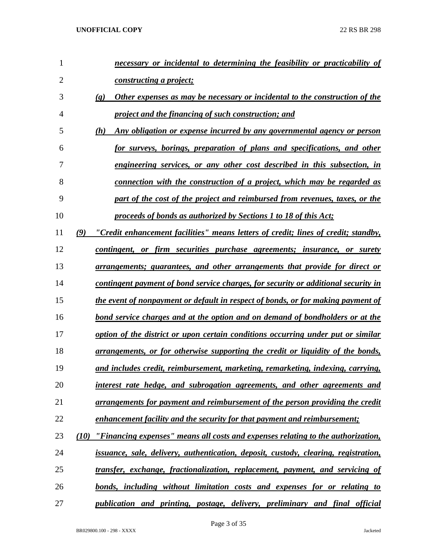| $\mathbf{1}$   | necessary or incidental to determining the feasibility or practicability of                                |
|----------------|------------------------------------------------------------------------------------------------------------|
| $\overline{2}$ | constructing a project;                                                                                    |
| 3              | Other expenses as may be necessary or incidental to the construction of the<br>$\left( \mathbf{g} \right)$ |
| $\overline{4}$ | project and the financing of such construction; and                                                        |
| 5              | Any obligation or expense incurred by any governmental agency or person<br>(h)                             |
| 6              | for surveys, borings, preparation of plans and specifications, and other                                   |
| 7              | engineering services, or any other cost described in this subsection, in                                   |
| 8              | connection with the construction of a project, which may be regarded as                                    |
| 9              | part of the cost of the project and reimbursed from revenues, taxes, or the                                |
| 10             | proceeds of bonds as authorized by Sections 1 to 18 of this Act;                                           |
| 11             | "Credit enhancement facilities" means letters of credit; lines of credit; standby,<br>(9)                  |
| 12             | contingent, or firm securities purchase agreements; insurance, or surety                                   |
| 13             | <u>arrangements; guarantees, and other arrangements that provide for direct or</u>                         |
| 14             | contingent payment of bond service charges, for security or additional security in                         |
| 15             | the event of nonpayment or default in respect of bonds, or for making payment of                           |
| 16             | <u>bond service charges and at the option and on demand of bondholders or at the</u>                       |
| 17             | option of the district or upon certain conditions occurring under put or similar                           |
| 18             | arrangements, or for otherwise supporting the credit or liquidity of the bonds,                            |
| 19             | and includes credit, reimbursement, marketing, remarketing, indexing, carrying,                            |
| 20             | interest rate hedge, and subrogation agreements, and other agreements and                                  |
| 21             | arrangements for payment and reimbursement of the person providing the credit                              |
| 22             | enhancement facility and the security for that payment and reimbursement;                                  |
| 23             | (10) "Financing expenses" means all costs and expenses relating to the authorization,                      |
| 24             | issuance, sale, delivery, authentication, deposit, custody, clearing, registration,                        |
| 25             | transfer, exchange, fractionalization, replacement, payment, and servicing of                              |
| 26             | bonds, including without limitation costs and expenses for or relating to                                  |
| 27             | publication and printing, postage, delivery, preliminary and final official                                |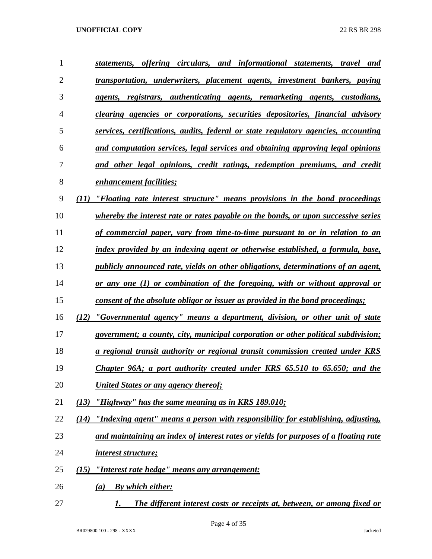| $\mathbf{1}$   | statements, offering circulars, and informational statements, travel and                 |
|----------------|------------------------------------------------------------------------------------------|
| $\overline{2}$ | <u>transportation, underwriters, placement agents, investment bankers, paying</u>        |
| 3              | agents, registrars, authenticating agents, remarketing agents, custodians,               |
| 4              | <u>clearing agencies or corporations, securities depositories, financial advisory</u>    |
| 5              | services, certifications, audits, federal or state regulatory agencies, accounting       |
| 6              | and computation services, legal services and obtaining approving legal opinions          |
| 7              | and other legal opinions, credit ratings, redemption premiums, and credit                |
| 8              | <u>enhancement facilities;</u>                                                           |
| 9              | "Floating rate interest structure" means provisions in the bond proceedings<br>(11)      |
| 10             | whereby the interest rate or rates payable on the bonds, or upon successive series       |
| 11             | <u>of commercial paper, vary from time-to-time pursuant to or in relation to an</u>      |
| 12             | index provided by an indexing agent or otherwise established, a formula, base,           |
| 13             | <i>publicly announced rate, yields on other obligations, determinations of an agent,</i> |
| 14             | <u>or any one (1) or combination of the foregoing, with or without approval or</u>       |
| 15             | <u>consent of the absolute obligor or issuer as provided in the bond proceedings;</u>    |
| 16             | "Governmental agency" means a department, division, or other unit of state<br>(12)       |
| 17             | <i>government; a county, city, municipal corporation or other political subdivision;</i> |
| 18             | <u>a regional transit authority or regional transit commission created under KRS</u>     |
| 19             | Chapter 96A; a port authority created under KRS 65.510 to 65.650; and the                |
| 20             | United States or any agency thereof;                                                     |
| 21             | "Highway" has the same meaning as in KRS 189.010;<br>(13)                                |
| 22             | "Indexing agent" means a person with responsibility for establishing, adjusting,<br>(14) |
| 23             | and maintaining an index of interest rates or yields for purposes of a floating rate     |
| 24             | <i>interest structure;</i>                                                               |
| 25             | "Interest rate hedge" means any arrangement:<br>(15)                                     |
| 26             | <b>By which either:</b><br>(a)                                                           |
| 27             | The different interest costs or receipts at, between, or among fixed or<br>1.            |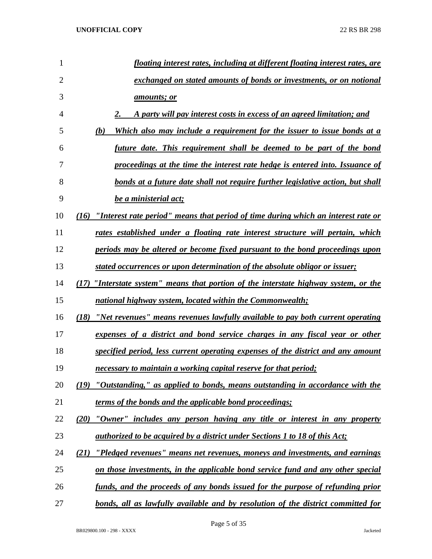| 1  | floating interest rates, including at different floating interest rates, are              |
|----|-------------------------------------------------------------------------------------------|
| 2  | exchanged on stated amounts of bonds or investments, or on notional                       |
| 3  | <u>amounts; or</u>                                                                        |
| 4  | A party will pay interest costs in excess of an agreed limitation; and                    |
| 5  | (b)<br>Which also may include a requirement for the issuer to issue bonds at a            |
| 6  | future date. This requirement shall be deemed to be part of the bond                      |
| 7  | <u>proceedings at the time the interest rate hedge is entered into. Issuance of</u>       |
| 8  | bonds at a future date shall not require further legislative action, but shall            |
| 9  | be a ministerial act;                                                                     |
| 10 | "Interest rate period" means that period of time during which an interest rate or<br>(16) |
| 11 | rates established under a floating rate interest structure will pertain, which            |
| 12 | periods may be altered or become fixed pursuant to the bond proceedings upon              |
| 13 | stated occurrences or upon determination of the absolute obligor or issuer;               |
| 14 | "Interstate system" means that portion of the interstate highway system, or the<br>(17)   |
| 15 | national highway system, located within the Commonwealth;                                 |
| 16 | "Net revenues" means revenues lawfully available to pay both current operating<br>(18)    |
| 17 | expenses of a district and bond service charges in any fiscal year or other               |
| 18 | <u>specified period, less current operating expenses of the district and any amount</u>   |
| 19 | necessary to maintain a working capital reserve for that period;                          |
| 20 | (19) "Outstanding," as applied to bonds, means outstanding in accordance with the         |
| 21 | terms of the bonds and the applicable bond proceedings;                                   |
| 22 | "Owner" includes any person having any title or interest in any property<br>(20)          |
| 23 | <i>authorized to be acquired by a district under Sections 1 to 18 of this Act;</i>        |
| 24 | "Pledged revenues" means net revenues, moneys and investments, and earnings<br>(21)       |
| 25 | on those investments, in the applicable bond service fund and any other special           |
| 26 | funds, and the proceeds of any bonds issued for the purpose of refunding prior            |
| 27 | bonds, all as lawfully available and by resolution of the district committed for          |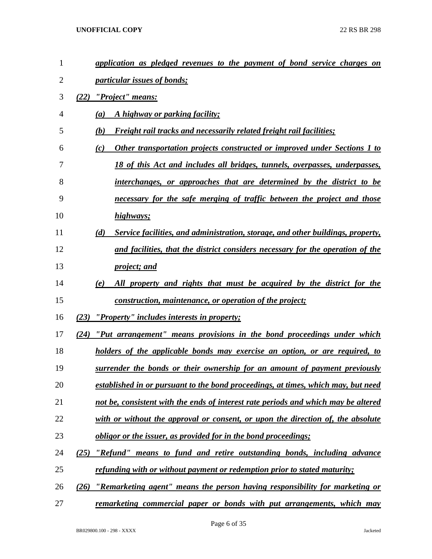| 1              | application as pledged revenues to the payment of bond service charges on              |
|----------------|----------------------------------------------------------------------------------------|
| $\overline{2}$ | <i><u><b>particular issues of bonds;</b></u></i>                                       |
| 3              | "Project" means:<br>(22)                                                               |
| 4              | A highway or parking facility;<br>(a)                                                  |
| 5              | <b>Freight rail tracks and necessarily related freight rail facilities;</b><br>(b)     |
| 6              | Other transportation projects constructed or improved under Sections 1 to<br>(c)       |
| 7              | 18 of this Act and includes all bridges, tunnels, overpasses, underpasses,             |
| 8              | interchanges, or approaches that are determined by the district to be                  |
| 9              | necessary for the safe merging of traffic between the project and those                |
| 10             | highways;                                                                              |
| 11             | Service facilities, and administration, storage, and other buildings, property,<br>(d) |
| 12             | and facilities, that the district considers necessary for the operation of the         |
| 13             | <i>project; and</i>                                                                    |
| 14             | All property and rights that must be acquired by the district for the<br>(e)           |
| 15             | <u>construction, maintenance, or operation of the project;</u>                         |
| 16             | (23)<br><u>"Property" includes interests in property;</u>                              |
| 17             | "Put arrangement" means provisions in the bond proceedings under which<br>(24)         |
| 18             | holders of the applicable bonds may exercise an option, or are required, to            |
| 19             | surrender the bonds or their ownership for an amount of payment previously             |
| 20             | established in or pursuant to the bond proceedings, at times, which may, but need      |
| 21             | not be, consistent with the ends of interest rate periods and which may be altered     |
| 22             | with or without the approval or consent, or upon the direction of, the absolute        |
| 23             | <u>obligor or the issuer, as provided for in the bond proceedings;</u>                 |
| 24             | "Refund" means to fund and retire outstanding bonds, including advance<br>(25)         |
| 25             | refunding with or without payment or redemption prior to stated maturity;              |
| 26             | "Remarketing agent" means the person having responsibility for marketing or<br>(26)    |
| 27             | <u>remarketing commercial paper or bonds with put arrangements, which may</u>          |

Page 6 of 35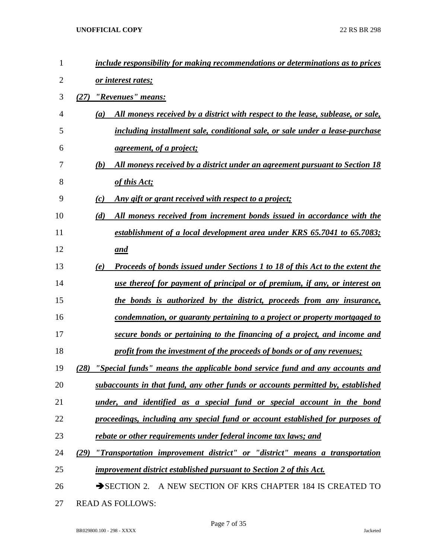| 1              | include responsibility for making recommendations or determinations as to prices            |
|----------------|---------------------------------------------------------------------------------------------|
| $\overline{2}$ | or interest rates;                                                                          |
| 3              | "Revenues" means:<br>(27)                                                                   |
| 4              | All moneys received by a district with respect to the lease, sublease, or sale,<br>(a)      |
| 5              | including installment sale, conditional sale, or sale under a lease-purchase                |
| 6              | <i>agreement, of a project;</i>                                                             |
| 7              | (b)<br>All moneys received by a district under an agreement pursuant to Section 18          |
| 8              | of this Act;                                                                                |
| 9              | <u>Any gift or grant received with respect to a project;</u><br>(c)                         |
| 10             | All moneys received from increment bonds issued in accordance with the<br>(d)               |
| 11             | establishment of a local development area under KRS 65.7041 to 65.7083;                     |
| 12             | and                                                                                         |
| 13             | <b>Proceeds of bonds issued under Sections 1 to 18 of this Act to the extent the</b><br>(e) |
| 14             | use thereof for payment of principal or of premium, if any, or interest on                  |
| 15             | the bonds is authorized by the district, proceeds from any insurance,                       |
| 16             | condemnation, or guaranty pertaining to a project or property mortgaged to                  |
| 17             | secure bonds or pertaining to the financing of a project, and income and                    |
| 18             | profit from the investment of the proceeds of bonds or of any revenues;                     |
| 19             | "Special funds" means the applicable bond service fund and any accounts and<br>(28)         |
| 20             | subaccounts in that fund, any other funds or accounts permitted by, established             |
| 21             | under, and identified as a special fund or special account in the bond                      |
| 22             | proceedings, including any special fund or account established for purposes of              |
| 23             | rebate or other requirements under federal income tax laws; and                             |
| 24             | "Transportation improvement district" or "district" means a transportation<br>(29)          |
| 25             | improvement district established pursuant to Section 2 of this Act.                         |
| 26             | SECTION 2. A NEW SECTION OF KRS CHAPTER 184 IS CREATED TO                                   |
| 27             | <b>READ AS FOLLOWS:</b>                                                                     |

BR029800.100 - 298 - XXXX Jacketed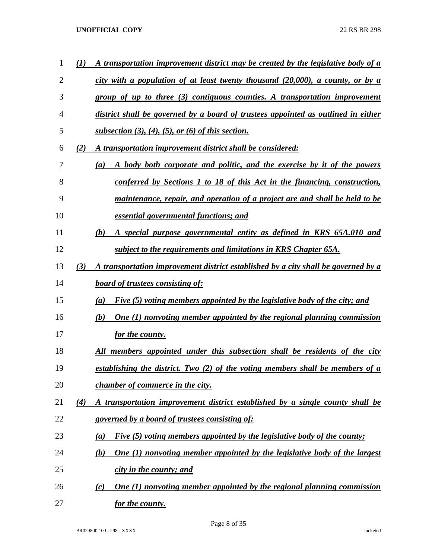| 1              | (I) | A transportation improvement district may be created by the legislative body of a       |
|----------------|-----|-----------------------------------------------------------------------------------------|
| $\overline{2}$ |     | city with a population of at least twenty thousand $(20,000)$ , a county, or by a       |
| 3              |     | group of up to three (3) contiguous counties. A transportation improvement              |
| 4              |     | district shall be governed by a board of trustees appointed as outlined in either       |
| 5              |     | subsection $(3)$ , $(4)$ , $(5)$ , or $(6)$ of this section.                            |
| 6              | (2) | A transportation improvement district shall be considered:                              |
| 7              |     | A body both corporate and politic, and the exercise by it of the powers<br>(a)          |
| 8              |     | conferred by Sections 1 to 18 of this Act in the financing, construction,               |
| 9              |     | maintenance, repair, and operation of a project are and shall be held to be             |
| 10             |     | essential governmental functions; and                                                   |
| 11             |     | A special purpose governmental entity as defined in KRS 65A.010 and<br>(b)              |
| 12             |     | subject to the requirements and limitations in KRS Chapter 65A.                         |
| 13             | (3) | A transportation improvement district established by a city shall be governed by a      |
| 14             |     | <b>board of trustees consisting of:</b>                                                 |
| 15             |     | Five (5) voting members appointed by the legislative body of the city; and<br>(a)       |
| 16             |     | <b>One (1) nonvoting member appointed by the regional planning commission</b><br>(b)    |
| 17             |     | for the county.                                                                         |
| 18             |     | All members appointed under this subsection shall be residents of the city              |
| 19             |     | establishing the district. Two (2) of the voting members shall be members of a          |
| 20             |     | <i>chamber of commerce in the city.</i>                                                 |
| 21             | (4) | A transportation improvement district established by a single county shall be           |
| 22             |     | governed by a board of trustees consisting of:                                          |
| 23             |     | Five (5) voting members appointed by the legislative body of the county;<br>(a)         |
| 24             |     | <b>One (1) nonvoting member appointed by the legislative body of the largest</b><br>(b) |
| 25             |     | city in the county; and                                                                 |
| 26             |     | <b>One (1) nonvoting member appointed by the regional planning commission</b><br>(c)    |
| 27             |     | <u>for the county.</u>                                                                  |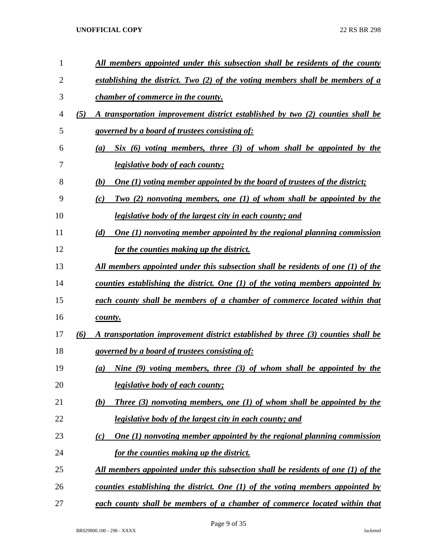| $\mathbf{1}$ |     | All members appointed under this subsection shall be residents of the county            |
|--------------|-----|-----------------------------------------------------------------------------------------|
| 2            |     | establishing the district. Two (2) of the voting members shall be members of a          |
| 3            |     | <i>chamber of commerce in the county.</i>                                               |
| 4            | (5) | A transportation improvement district established by two (2) counties shall be          |
| 5            |     | governed by a board of trustees consisting of:                                          |
| 6            |     | $Six (6)$ voting members, three $(3)$ of whom shall be appointed by the<br>(a)          |
| 7            |     | <i>legislative body of each county;</i>                                                 |
| 8            |     | (b)<br><b>One (1) voting member appointed by the board of trustees of the district;</b> |
| 9            |     | Two (2) nonvoting members, one (1) of whom shall be appointed by the<br>(c)             |
| 10           |     | legislative body of the largest city in each county; and                                |
| 11           |     | <b>One (1) nonvoting member appointed by the regional planning commission</b><br>(d)    |
| 12           |     | for the counties making up the district.                                                |
| 13           |     | All members appointed under this subsection shall be residents of one (1) of the        |
| 14           |     | counties establishing the district. One (1) of the voting members appointed by          |
| 15           |     | each county shall be members of a chamber of commerce located within that               |
| 16           |     | county.                                                                                 |
| 17           | (6) | A transportation improvement district established by three (3) counties shall be        |
| 18           |     | governed by a board of trustees consisting of:                                          |
| 19           |     | Nine (9) voting members, three (3) of whom shall be appointed by the<br>(a)             |
| 20           |     | <i>legislative body of each county;</i>                                                 |
| 21           |     | <b>Three</b> (3) nonvoting members, one (1) of whom shall be appointed by the<br>(b)    |
| 22           |     | legislative body of the largest city in each county; and                                |
| 23           |     | One $(1)$ nonvoting member appointed by the regional planning commission<br>(c)         |
| 24           |     | for the counties making up the district.                                                |
| 25           |     | <u>All members appointed under this subsection shall be residents of one (1) of the</u> |
| 26           |     | <u>counties establishing the district. One (1) of the voting members appointed by</u>   |
| 27           |     | each county shall be members of a chamber of commerce located within that               |

Page 9 of 35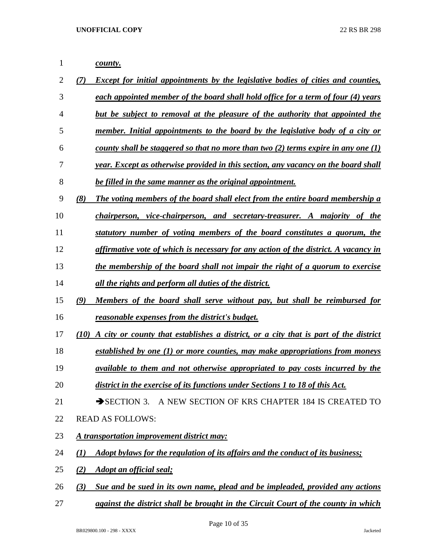*county. (7) Except for initial appointments by the legislative bodies of cities and counties, each appointed member of the board shall hold office for a term of four (4) years but be subject to removal at the pleasure of the authority that appointed the member. Initial appointments to the board by the legislative body of a city or county shall be staggered so that no more than two (2) terms expire in any one (1) year. Except as otherwise provided in this section, any vacancy on the board shall be filled in the same manner as the original appointment. (8) The voting members of the board shall elect from the entire board membership a chairperson, vice-chairperson, and secretary-treasurer. A majority of the statutory number of voting members of the board constitutes a quorum, the affirmative vote of which is necessary for any action of the district. A vacancy in the membership of the board shall not impair the right of a quorum to exercise all the rights and perform all duties of the district. (9) Members of the board shall serve without pay, but shall be reimbursed for reasonable expenses from the district's budget. (10) A city or county that establishes a district, or a city that is part of the district established by one (1) or more counties, may make appropriations from moneys available to them and not otherwise appropriated to pay costs incurred by the district in the exercise of its functions under Sections 1 to 18 of this Act.* 21 SECTION 3. A NEW SECTION OF KRS CHAPTER 184 IS CREATED TO READ AS FOLLOWS: *A transportation improvement district may: (1) Adopt bylaws for the regulation of its affairs and the conduct of its business; (2) Adopt an official seal; (3) Sue and be sued in its own name, plead and be impleaded, provided any actions* 

*against the district shall be brought in the Circuit Court of the county in which*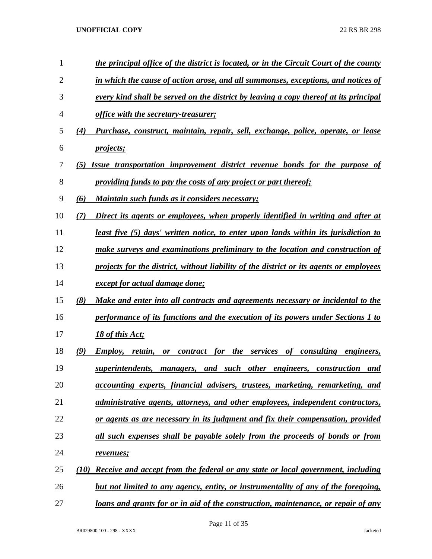| 1              |      | the principal office of the district is located, or in the Circuit Court of the county   |
|----------------|------|------------------------------------------------------------------------------------------|
| $\overline{2}$ |      | in which the cause of action arose, and all summonses, exceptions, and notices of        |
| 3              |      | every kind shall be served on the district by leaving a copy thereof at its principal    |
| 4              |      | office with the secretary-treasurer;                                                     |
| 5              | (4)  | Purchase, construct, maintain, repair, sell, exchange, police, operate, or lease         |
| 6              |      | <i>projects</i> ;                                                                        |
| 7              | (5)  | Issue transportation improvement district revenue bonds for the purpose of               |
| 8              |      | providing funds to pay the costs of any project or part thereof;                         |
| 9              | (6)  | Maintain such funds as it considers necessary;                                           |
| 10             | (7)  | Direct its agents or employees, when properly identified in writing and after at         |
| 11             |      | least five (5) days' written notice, to enter upon lands within its jurisdiction to      |
| 12             |      | make surveys and examinations preliminary to the location and construction of            |
| 13             |      | projects for the district, without liability of the district or its agents or employees  |
| 14             |      | <i>except for actual damage done;</i>                                                    |
| 15             | (8)  | Make and enter into all contracts and agreements necessary or incidental to the          |
| 16             |      | performance of its functions and the execution of its powers under Sections 1 to         |
| 17             |      | 18 of this Act;                                                                          |
| 18             | (9)  | for the services of consulting engineers,<br>Employ, retain,<br>contract<br><b>or</b>    |
| 19             |      | superintendents, managers, and such other engineers, construction and                    |
| 20             |      | accounting experts, financial advisers, trustees, marketing, remarketing, and            |
| 21             |      | <i>administrative agents, attorneys, and other employees, independent contractors,</i>   |
| 22             |      | or agents as are necessary in its judgment and fix their compensation, provided          |
| 23             |      | all such expenses shall be payable solely from the proceeds of bonds or from             |
| 24             |      | revenues;                                                                                |
| 25             | (10) | Receive and accept from the federal or any state or local government, including          |
| 26             |      | but not limited to any agency, entity, or instrumentality of any of the foregoing,       |
| 27             |      | <u>loans and grants for or in aid of the construction, maintenance, or repair of any</u> |

Page 11 of 35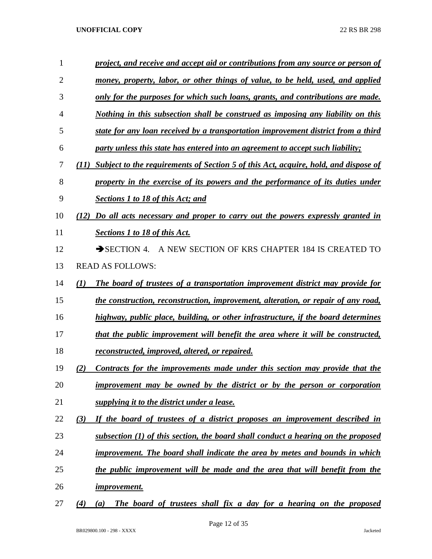| 1  | project, and receive and accept aid or contributions from any source or person of                  |
|----|----------------------------------------------------------------------------------------------------|
| 2  | money, property, labor, or other things of value, to be held, used, and applied                    |
| 3  | only for the purposes for which such loans, grants, and contributions are made.                    |
| 4  | Nothing in this subsection shall be construed as imposing any liability on this                    |
| 5  | state for any loan received by a transportation improvement district from a third                  |
| 6  | party unless this state has entered into an agreement to accept such liability;                    |
| 7  | <b>Subject to the requirements of Section 5 of this Act, acquire, hold, and dispose of</b><br>(11) |
| 8  | property in the exercise of its powers and the performance of its duties under                     |
| 9  | <b>Sections 1 to 18 of this Act; and</b>                                                           |
| 10 | Do all acts necessary and proper to carry out the powers expressly granted in<br>(12)              |
| 11 | Sections 1 to 18 of this Act.                                                                      |
| 12 | $\rightarrow$ SECTION 4.<br>A NEW SECTION OF KRS CHAPTER 184 IS CREATED TO                         |
| 13 | <b>READ AS FOLLOWS:</b>                                                                            |
| 14 | The board of trustees of a transportation improvement district may provide for<br>$\bf(1)$         |
| 15 | <u>the construction, reconstruction, improvement, alteration, or repair of any road,</u>           |
| 16 | highway, public place, building, or other infrastructure, if the board determines                  |
| 17 | that the public improvement will benefit the area where it will be constructed,                    |
| 18 | reconstructed, improved, altered, or repaired.                                                     |
| 19 | Contracts for the improvements made under this section may provide that the<br>2)                  |
| 20 | improvement may be owned by the district or by the person or corporation                           |
| 21 | supplying it to the district under a lease.                                                        |
| 22 | If the board of trustees of a district proposes an improvement described in<br>(3)                 |
| 23 | subsection (1) of this section, the board shall conduct a hearing on the proposed                  |
| 24 | improvement. The board shall indicate the area by metes and bounds in which                        |
| 25 | the public improvement will be made and the area that will benefit from the                        |
| 26 | <i>improvement.</i>                                                                                |
| 27 | The board of trustees shall fix a day for a hearing on the proposed<br>(4)<br>(a)                  |

BR029800.100 - 298 - XXXX Jacketed

Page 12 of 35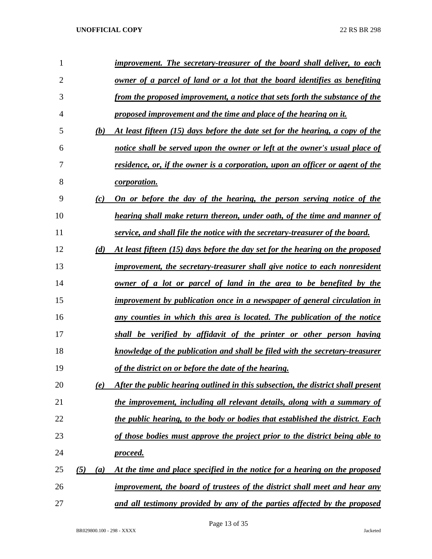| 1              |            | improvement. The secretary-treasurer of the board shall deliver, to each             |
|----------------|------------|--------------------------------------------------------------------------------------|
| $\overline{2}$ |            | owner of a parcel of land or a lot that the board identifies as benefiting           |
| 3              |            | from the proposed improvement, a notice that sets forth the substance of the         |
| 4              |            | proposed improvement and the time and place of the hearing on it.                    |
| 5              | (b)        | At least fifteen (15) days before the date set for the hearing, a copy of the        |
| 6              |            | notice shall be served upon the owner or left at the owner's usual place of          |
| 7              |            | <u>residence, or, if the owner is a corporation, upon an officer or agent of the</u> |
| 8              |            | <i>corporation.</i>                                                                  |
| 9              | (c)        | On or before the day of the hearing, the person serving notice of the                |
| 10             |            | hearing shall make return thereon, under oath, of the time and manner of             |
| 11             |            | service, and shall file the notice with the secretary-treasurer of the board.        |
| 12             | (d)        | At least fifteen (15) days before the day set for the hearing on the proposed        |
| 13             |            | improvement, the secretary-treasurer shall give notice to each nonresident           |
| 14             |            | owner of a lot or parcel of land in the area to be benefited by the                  |
| 15             |            | improvement by publication once in a newspaper of general circulation in             |
| 16             |            | any counties in which this area is located. The publication of the notice            |
| 17             |            | shall be verified by affidavit of the printer or other person having                 |
| 18             |            | knowledge of the publication and shall be filed with the secretary-treasurer         |
| 19             |            | of the district on or before the date of the hearing.                                |
| 20             | (e)        | After the public hearing outlined in this subsection, the district shall present     |
| 21             |            | the improvement, including all relevant details, along with a summary of             |
| 22             |            | the public hearing, to the body or bodies that established the district. Each        |
| 23             |            | of those bodies must approve the project prior to the district being able to         |
| 24             |            | <u>proceed.</u>                                                                      |
| 25             | (5)<br>(a) | At the time and place specified in the notice for a hearing on the proposed          |
| 26             |            | improvement, the board of trustees of the district shall meet and hear any           |
| 27             |            | and all testimony provided by any of the parties affected by the proposed            |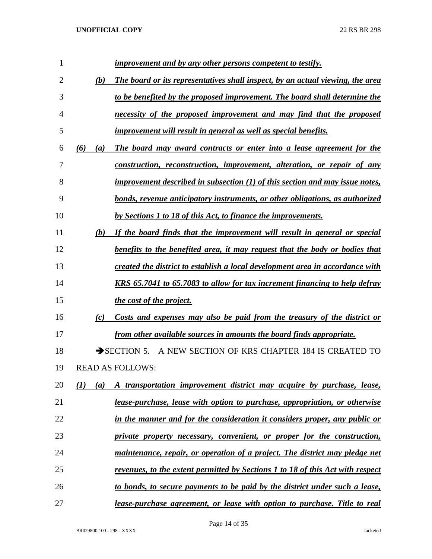| 1  |     |                  | improvement and by any other persons competent to testify.                     |
|----|-----|------------------|--------------------------------------------------------------------------------|
| 2  |     | (b)              | The board or its representatives shall inspect, by an actual viewing, the area |
| 3  |     |                  | to be benefited by the proposed improvement. The board shall determine the     |
| 4  |     |                  | necessity of the proposed improvement and may find that the proposed           |
| 5  |     |                  | improvement will result in general as well as special benefits.                |
| 6  | (6) | $\left(a\right)$ | The board may award contracts or enter into a lease agreement for the          |
| 7  |     |                  | construction, reconstruction, improvement, alteration, or repair of any        |
| 8  |     |                  | improvement described in subsection $(1)$ of this section and may issue notes, |
| 9  |     |                  | bonds, revenue anticipatory instruments, or other obligations, as authorized   |
| 10 |     |                  | by Sections 1 to 18 of this Act, to finance the improvements.                  |
| 11 |     | (b)              | If the board finds that the improvement will result in general or special      |
| 12 |     |                  | benefits to the benefited area, it may request that the body or bodies that    |
| 13 |     |                  | created the district to establish a local development area in accordance with  |
| 14 |     |                  | KRS 65.7041 to 65.7083 to allow for tax increment financing to help defray     |
| 15 |     |                  | the cost of the project.                                                       |
| 16 |     | (c)              | Costs and expenses may also be paid from the treasury of the district or       |
| 17 |     |                  | from other available sources in amounts the board finds appropriate.           |
| 18 |     |                  | A NEW SECTION OF KRS CHAPTER 184 IS CREATED TO<br>$\rightarrow$ SECTION 5.     |
| 19 |     |                  | <b>READ AS FOLLOWS:</b>                                                        |
| 20 | (I) | (a)              | A transportation improvement district may acquire by purchase, lease,          |
| 21 |     |                  | lease-purchase, lease with option to purchase, appropriation, or otherwise     |
| 22 |     |                  | in the manner and for the consideration it considers proper, any public or     |
| 23 |     |                  | private property necessary, convenient, or proper for the construction,        |
| 24 |     |                  | maintenance, repair, or operation of a project. The district may pledge net    |
| 25 |     |                  | revenues, to the extent permitted by Sections 1 to 18 of this Act with respect |
| 26 |     |                  | to bonds, to secure payments to be paid by the district under such a lease,    |
| 27 |     |                  | lease-purchase agreement, or lease with option to purchase. Title to real      |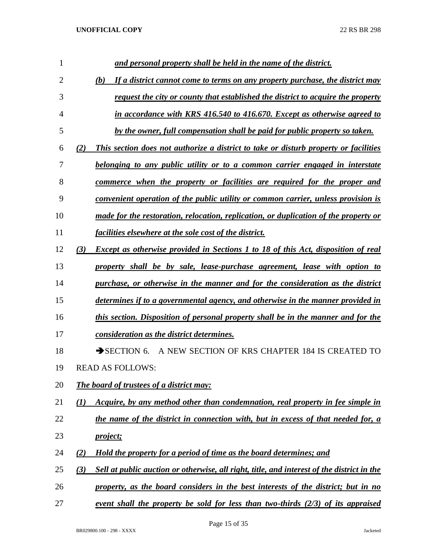| 1  | and personal property shall be held in the name of the district.                                  |
|----|---------------------------------------------------------------------------------------------------|
| 2  | If a district cannot come to terms on any property purchase, the district may<br>(b)              |
| 3  | request the city or county that established the district to acquire the property                  |
| 4  | in accordance with KRS 416.540 to 416.670. Except as otherwise agreed to                          |
| 5  | by the owner, full compensation shall be paid for public property so taken.                       |
| 6  | This section does not authorize a district to take or disturb property or facilities<br>(2)       |
| 7  | <u>belonging to any public utility or to a common carrier engaged in interstate</u>               |
| 8  | <u>commerce when the property or facilities are required for the proper and</u>                   |
| 9  | convenient operation of the public utility or common carrier, unless provision is                 |
| 10 | made for the restoration, relocation, replication, or duplication of the property or              |
| 11 | <i>facilities elsewhere at the sole cost of the district.</i>                                     |
| 12 | <b>Except as otherwise provided in Sections 1 to 18 of this Act, disposition of real</b><br>(3)   |
| 13 | property shall be by sale, lease-purchase agreement, lease with option to                         |
| 14 | purchase, or otherwise in the manner and for the consideration as the district                    |
| 15 | determines if to a governmental agency, and otherwise in the manner provided in                   |
| 16 | this section. Disposition of personal property shall be in the manner and for the                 |
| 17 | consideration as the district determines.                                                         |
| 18 | A NEW SECTION OF KRS CHAPTER 184 IS CREATED TO<br>$\rightarrow$ SECTION 6.                        |
| 19 | <b>READ AS FOLLOWS:</b>                                                                           |
| 20 | <b>The board of trustees of a district may:</b>                                                   |
| 21 | Acquire, by any method other than condemnation, real property in fee simple in<br>$\bf(1)$        |
| 22 | the name of the district in connection with, but in excess of that needed for, a                  |
| 23 | <i>project</i> ;                                                                                  |
| 24 | Hold the property for a period of time as the board determines; and<br>(2)                        |
| 25 | (3)<br>Sell at public auction or otherwise, all right, title, and interest of the district in the |
| 26 | property, as the board considers in the best interests of the district; but in no                 |
| 27 | event shall the property be sold for less than two-thirds $(2/3)$ of its appraised                |

Page 15 of 35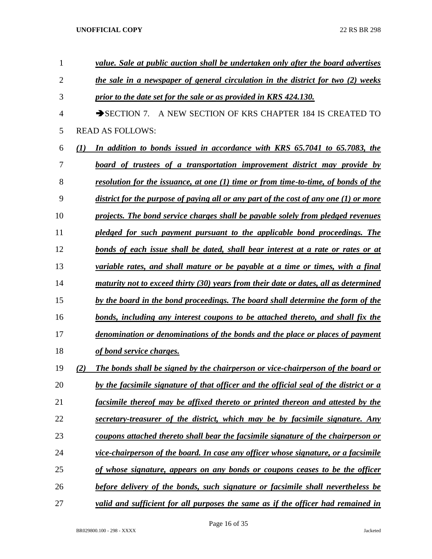| 1  | value. Sale at public auction shall be undertaken only after the board advertises              |
|----|------------------------------------------------------------------------------------------------|
| 2  | the sale in a newspaper of general circulation in the district for two (2) weeks               |
| 3  | prior to the date set for the sale or as provided in KRS 424.130.                              |
| 4  | A NEW SECTION OF KRS CHAPTER 184 IS CREATED TO<br>$\rightarrow$ SECTION 7.                     |
| 5  | <b>READ AS FOLLOWS:</b>                                                                        |
| 6  | In addition to bonds issued in accordance with KRS 65.7041 to 65.7083, the<br>$\mathcal{L}(I)$ |
| 7  | <u>board of trustees of a transportation improvement district may provide by</u>               |
| 8  | <u>resolution for the issuance, at one (1) time or from time-to-time, of bonds of the</u>      |
| 9  | district for the purpose of paying all or any part of the cost of any one (1) or more          |
| 10 | projects. The bond service charges shall be payable solely from pledged revenues               |
| 11 | pledged for such payment pursuant to the applicable bond proceedings. The                      |
| 12 | bonds of each issue shall be dated, shall bear interest at a rate or rates or at               |
| 13 | variable rates, and shall mature or be payable at a time or times, with a final                |
| 14 | maturity not to exceed thirty (30) years from their date or dates, all as determined           |
| 15 | by the board in the bond proceedings. The board shall determine the form of the                |
| 16 | <u>bonds, including any interest coupons to be attached thereto, and shall fix the</u>         |
| 17 | denomination or denominations of the bonds and the place or places of payment                  |
| 18 | of bond service charges.                                                                       |
| 19 | The bonds shall be signed by the chairperson or vice-chairperson of the board or<br>(2)        |
| 20 | by the facsimile signature of that officer and the official seal of the district or a          |
| 21 | facsimile thereof may be affixed thereto or printed thereon and attested by the                |
| 22 | secretary-treasurer of the district, which may be by facsimile signature. Any                  |
| 23 | coupons attached thereto shall bear the facsimile signature of the chairperson or              |
| 24 | vice-chairperson of the board. In case any officer whose signature, or a facsimile             |
| 25 | of whose signature, appears on any bonds or coupons ceases to be the officer                   |
| 26 | before delivery of the bonds, such signature or facsimile shall nevertheless be                |
| 27 | valid and sufficient for all purposes the same as if the officer had remained in               |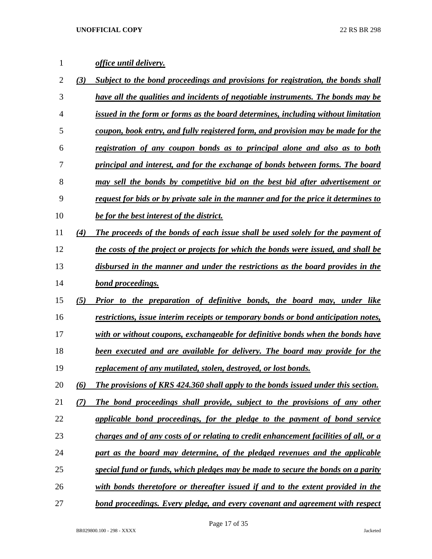# *office until delivery.*

| $\overline{c}$ | (3) | Subject to the bond proceedings and provisions for registration, the bonds shall        |
|----------------|-----|-----------------------------------------------------------------------------------------|
| 3              |     | <u>have all the qualities and incidents of negotiable instruments. The bonds may be</u> |
| 4              |     | issued in the form or forms as the board determines, including without limitation       |
| 5              |     | coupon, book entry, and fully registered form, and provision may be made for the        |
| 6              |     | registration of any coupon bonds as to principal alone and also as to both              |
| 7              |     | principal and interest, and for the exchange of bonds between forms. The board          |
| 8              |     | may sell the bonds by competitive bid on the best bid after advertisement or            |
| 9              |     | request for bids or by private sale in the manner and for the price it determines to    |
| 10             |     | be for the best interest of the district.                                               |
| 11             | (4) | The proceeds of the bonds of each issue shall be used solely for the payment of         |
| 12             |     | the costs of the project or projects for which the bonds were issued, and shall be      |
| 13             |     | disbursed in the manner and under the restrictions as the board provides in the         |
| 14             |     | bond proceedings.                                                                       |
| 15             | (5) | Prior to the preparation of definitive bonds, the board may, under like                 |
| 16             |     | restrictions, issue interim receipts or temporary bonds or bond anticipation notes,     |
| 17             |     | with or without coupons, exchangeable for definitive bonds when the bonds have          |
| 18             |     | been executed and are available for delivery. The board may provide for the             |
| 19             |     | replacement of any mutilated, stolen, destroyed, or lost bonds.                         |
| 20             | (6) | The provisions of KRS 424.360 shall apply to the bonds issued under this section.       |
| 21             |     | The bond proceedings shall provide, subject to the provisions of any other              |
| 22             |     | applicable bond proceedings, for the pledge to the payment of bond service              |
| 23             |     | charges and of any costs of or relating to credit enhancement facilities of all, or a   |
| 24             |     | part as the board may determine, of the pledged revenues and the applicable             |
| 25             |     | special fund or funds, which pledges may be made to secure the bonds on a parity        |
| 26             |     | with bonds theretofore or thereafter issued if and to the extent provided in the        |
| 27             |     | bond proceedings. Every pledge, and every covenant and agreement with respect           |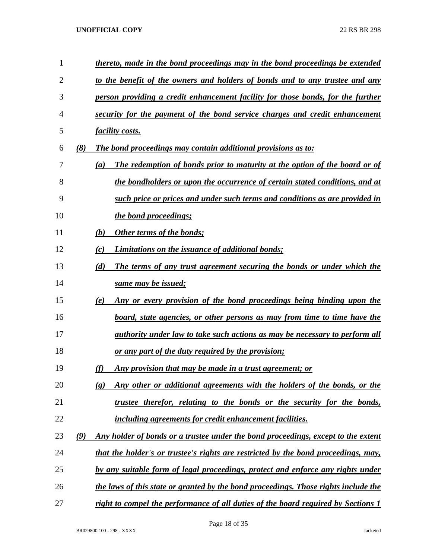| 1              |     | thereto, made in the bond proceedings may in the bond proceedings be extended                           |
|----------------|-----|---------------------------------------------------------------------------------------------------------|
| $\overline{2}$ |     | to the benefit of the owners and holders of bonds and to any trustee and any                            |
| 3              |     | person providing a credit enhancement facility for those bonds, for the further                         |
| 4              |     | security for the payment of the bond service charges and credit enhancement                             |
| 5              |     | <i>facility costs.</i>                                                                                  |
| 6              | (8) | The bond proceedings may contain additional provisions as to:                                           |
| 7              |     | The redemption of bonds prior to maturity at the option of the board or of<br>(a)                       |
| 8              |     | the bondholders or upon the occurrence of certain stated conditions, and at                             |
| 9              |     | such price or prices and under such terms and conditions as are provided in                             |
| 10             |     | the bond proceedings;                                                                                   |
| 11             |     | Other terms of the bonds;<br>(b)                                                                        |
| 12             |     | Limitations on the issuance of additional bonds;<br>(c)                                                 |
| 13             |     | The terms of any trust agreement securing the bonds or under which the<br>(d)                           |
| 14             |     | same may be issued;                                                                                     |
| 15             |     | Any or every provision of the bond proceedings being binding upon the<br>(e)                            |
| 16             |     | board, state agencies, or other persons as may from time to time have the                               |
| 17             |     | authority under law to take such actions as may be necessary to perform all                             |
| 18             |     | <u>or any part of the duty required by the provision;</u>                                               |
| 19             |     | (f)<br>Any provision that may be made in a trust agreement; or                                          |
| 20             |     | Any other or additional agreements with the holders of the bonds, or the<br>$\left( \mathbf{g} \right)$ |
| 21             |     | trustee therefor, relating to the bonds or the security for the bonds,                                  |
| 22             |     | including agreements for credit enhancement facilities.                                                 |
| 23             | (9) | Any holder of bonds or a trustee under the bond proceedings, except to the extent                       |
| 24             |     | that the holder's or trustee's rights are restricted by the bond proceedings, may,                      |
| 25             |     | by any suitable form of legal proceedings, protect and enforce any rights under                         |
| 26             |     | the laws of this state or granted by the bond proceedings. Those rights include the                     |
| 27             |     | right to compel the performance of all duties of the board required by Sections 1                       |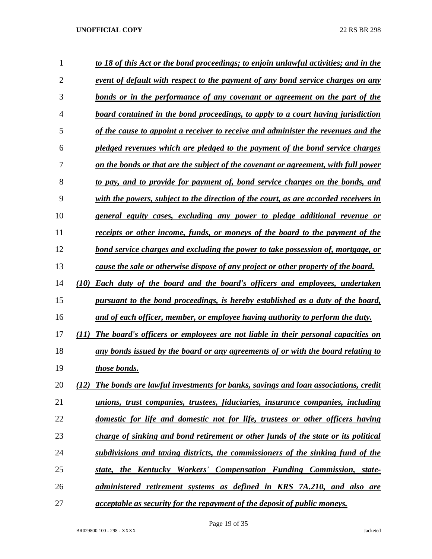| 1              | to 18 of this Act or the bond proceedings; to enjoin unlawful activities; and in the      |
|----------------|-------------------------------------------------------------------------------------------|
| $\overline{2}$ | event of default with respect to the payment of any bond service charges on any           |
| 3              | <u>bonds or in the performance of any covenant or agreement on the part of the</u>        |
| 4              | board contained in the bond proceedings, to apply to a court having jurisdiction          |
| 5              | of the cause to appoint a receiver to receive and administer the revenues and the         |
| 6              | pledged revenues which are pledged to the payment of the bond service charges             |
| 7              | on the bonds or that are the subject of the covenant or agreement, with full power        |
| 8              | to pay, and to provide for payment of, bond service charges on the bonds, and             |
| 9              | with the powers, subject to the direction of the court, as are accorded receivers in      |
| 10             | <u>general equity cases, excluding any power to pledge additional revenue or</u>          |
| 11             | receipts or other income, funds, or moneys of the board to the payment of the             |
| 12             | <u>bond service charges and excluding the power to take possession of, mortgage, or</u>   |
| 13             | cause the sale or otherwise dispose of any project or other property of the board.        |
| 14             | <b>Each duty of the board and the board's officers and employees, undertaken</b><br>(10)  |
| 15             | pursuant to the bond proceedings, is hereby established as a duty of the board,           |
| 16             | and of each officer, member, or employee having authority to perform the duty.            |
| 17             | The board's officers or employees are not liable in their personal capacities on<br>(11)  |
| 18             | any bonds issued by the board or any agreements of or with the board relating to          |
| 19             | those bonds.                                                                              |
| 20             | The bonds are lawful investments for banks, savings and loan associations, credit<br>(12) |
| 21             | unions, trust companies, trustees, fiduciaries, insurance companies, including            |
| 22             | domestic for life and domestic not for life, trustees or other officers having            |
| 23             | charge of sinking and bond retirement or other funds of the state or its political        |
| 24             | subdivisions and taxing districts, the commissioners of the sinking fund of the           |
| 25             | state, the Kentucky Workers' Compensation Funding Commission, state-                      |
| 26             | administered retirement systems as defined in KRS 7A.210, and also are                    |
| 27             | <i>acceptable as security for the repayment of the deposit of public moneys.</i>          |

Page 19 of 35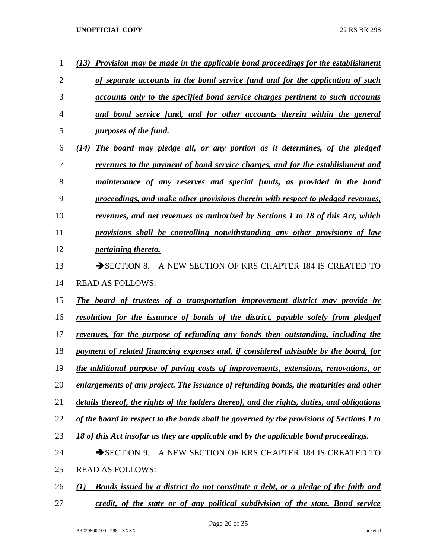| 1              | (13) Provision may be made in the applicable bond proceedings for the establishment         |
|----------------|---------------------------------------------------------------------------------------------|
| $\overline{2}$ | of separate accounts in the bond service fund and for the application of such               |
| 3              | accounts only to the specified bond service charges pertinent to such accounts              |
| 4              | and bond service fund, and for other accounts therein within the general                    |
| 5              | <i>purposes of the fund.</i>                                                                |
| 6              | (14) The board may pledge all, or any portion as it determines, of the pledged              |
| 7              | <u>revenues to the payment of bond service charges, and for the establishment and</u>       |
| 8              | maintenance of any reserves and special funds, as provided in the bond                      |
| 9              | proceedings, and make other provisions therein with respect to pledged revenues,            |
| 10             | revenues, and net revenues as authorized by Sections 1 to 18 of this Act, which             |
| 11             | provisions shall be controlling notwithstanding any other provisions of law                 |
| 12             | <i>pertaining thereto.</i>                                                                  |
| 13             | A NEW SECTION OF KRS CHAPTER 184 IS CREATED TO<br>$\rightarrow$ SECTION 8.                  |
| 14             | <b>READ AS FOLLOWS:</b>                                                                     |
| 15             | The board of trustees of a transportation improvement district may provide by               |
| 16             | <u>resolution for the issuance of bonds of the district, payable solely from pledged</u>    |
| 17             | revenues, for the purpose of refunding any bonds then outstanding, including the            |
| 18             | payment of related financing expenses and, if considered advisable by the board, for        |
| 19             | the additional purpose of paying costs of improvements, extensions, renovations, or         |
| 20             | enlargements of any project. The issuance of refunding bonds, the maturities and other      |
| 21             | details thereof, the rights of the holders thereof, and the rights, duties, and obligations |
| 22             | of the board in respect to the bonds shall be governed by the provisions of Sections 1 to   |
| 23             | 18 of this Act insofar as they are applicable and by the applicable bond proceedings.       |
| 24             | A NEW SECTION OF KRS CHAPTER 184 IS CREATED TO<br>$\rightarrow$ SECTION 9.                  |
| 25             | <b>READ AS FOLLOWS:</b>                                                                     |
| 26             | Bonds issued by a district do not constitute a debt, or a pledge of the faith and<br>(1)    |
| 27             | credit, of the state or of any political subdivision of the state. Bond service             |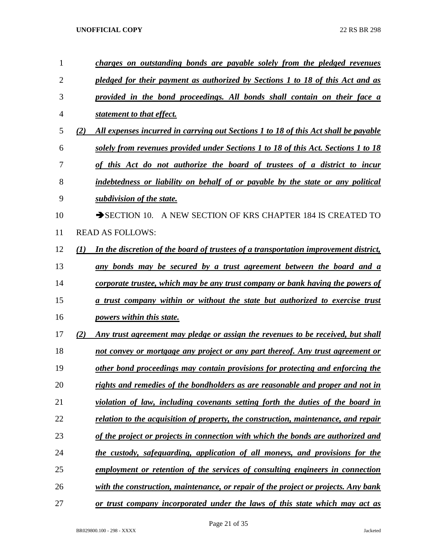| 1              |                  | charges on outstanding bonds are payable solely from the pledged revenues            |
|----------------|------------------|--------------------------------------------------------------------------------------|
| $\overline{2}$ |                  | pledged for their payment as authorized by Sections 1 to 18 of this Act and as       |
| 3              |                  | provided in the bond proceedings. All bonds shall contain on their face a            |
| 4              |                  | statement to that effect.                                                            |
| 5              | (2)              | All expenses incurred in carrying out Sections 1 to 18 of this Act shall be payable  |
| 6              |                  | solely from revenues provided under Sections 1 to 18 of this Act. Sections 1 to 18   |
| 7              |                  | of this Act do not authorize the board of trustees of a district to incur            |
| 8              |                  | indebtedness or liability on behalf of or payable by the state or any political      |
| 9              |                  | subdivision of the state.                                                            |
| 10             |                  | A NEW SECTION OF KRS CHAPTER 184 IS CREATED TO<br>$\rightarrow$ SECTION 10.          |
| 11             |                  | <b>READ AS FOLLOWS:</b>                                                              |
| 12             | $\mathcal{L}(I)$ | In the discretion of the board of trustees of a transportation improvement district, |
| 13             |                  | any bonds may be secured by a trust agreement between the board and a                |
| 14             |                  | corporate trustee, which may be any trust company or bank having the powers of       |
| 15             |                  | a trust company within or without the state but authorized to exercise trust         |
| 16             |                  | powers within this state.                                                            |
| 17             | (2)              | Any trust agreement may pledge or assign the revenues to be received, but shall      |
| 18             |                  | not convey or mortgage any project or any part thereof. Any trust agreement or       |
| 19             |                  | other bond proceedings may contain provisions for protecting and enforcing the       |
| 20             |                  | rights and remedies of the bondholders as are reasonable and proper and not in       |
| 21             |                  | violation of law, including covenants setting forth the duties of the board in       |
| 22             |                  | relation to the acquisition of property, the construction, maintenance, and repair   |
| 23             |                  | of the project or projects in connection with which the bonds are authorized and     |
| 24             |                  | the custody, safeguarding, application of all moneys, and provisions for the         |
| 25             |                  | employment or retention of the services of consulting engineers in connection        |
| 26             |                  | with the construction, maintenance, or repair of the project or projects. Any bank   |
| 27             |                  | or trust company incorporated under the laws of this state which may act as          |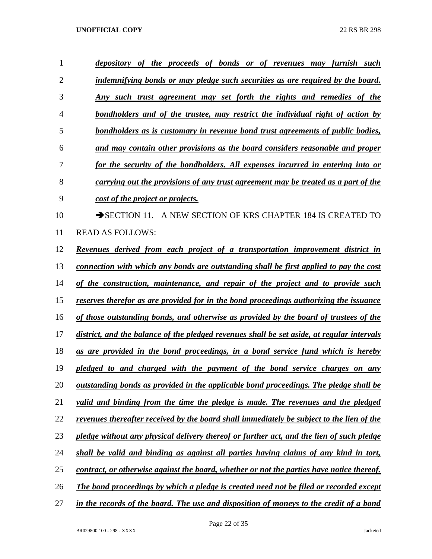| 1  | depository of the proceeds of bonds or of revenues may furnish such                           |
|----|-----------------------------------------------------------------------------------------------|
| 2  | <u>indemnifying bonds or may pledge such securities as are required by the board.</u>         |
| 3  | Any such trust agreement may set forth the rights and remedies of the                         |
| 4  | bondholders and of the trustee, may restrict the individual right of action by                |
| 5  | bondholders as is customary in revenue bond trust agreements of public bodies,                |
| 6  | and may contain other provisions as the board considers reasonable and proper                 |
| 7  | for the security of the bondholders. All expenses incurred in entering into or                |
| 8  | carrying out the provisions of any trust agreement may be treated as a part of the            |
| 9  | cost of the project or projects.                                                              |
| 10 | A NEW SECTION OF KRS CHAPTER 184 IS CREATED TO<br>$\rightarrow$ SECTION 11.                   |
| 11 | <b>READ AS FOLLOWS:</b>                                                                       |
| 12 | Revenues derived from each project of a transportation improvement district in                |
| 13 | connection with which any bonds are outstanding shall be first applied to pay the cost        |
| 14 | of the construction, maintenance, and repair of the project and to provide such               |
| 15 | reserves therefor as are provided for in the bond proceedings authorizing the issuance        |
| 16 | of those outstanding bonds, and otherwise as provided by the board of trustees of the         |
| 17 | district, and the balance of the pledged revenues shall be set aside, at regular intervals    |
| 18 | as are provided in the bond proceedings, in a bond service fund which is hereby               |
| 19 | pledged to and charged with the payment of the bond service charges on any                    |
| 20 | <u>outstanding bonds as provided in the applicable bond proceedings. The pledge shall be</u>  |
| 21 | valid and binding from the time the pledge is made. The revenues and the pledged              |
| 22 | revenues thereafter received by the board shall immediately be subject to the lien of the     |
| 23 | pledge without any physical delivery thereof or further act, and the lien of such pledge      |
| 24 | shall be valid and binding as against all parties having claims of any kind in tort,          |
| 25 | contract, or otherwise against the board, whether or not the parties have notice thereof.     |
| 26 | <b>The bond proceedings by which a pledge is created need not be filed or recorded except</b> |
| 27 | in the records of the board. The use and disposition of moneys to the credit of a bond        |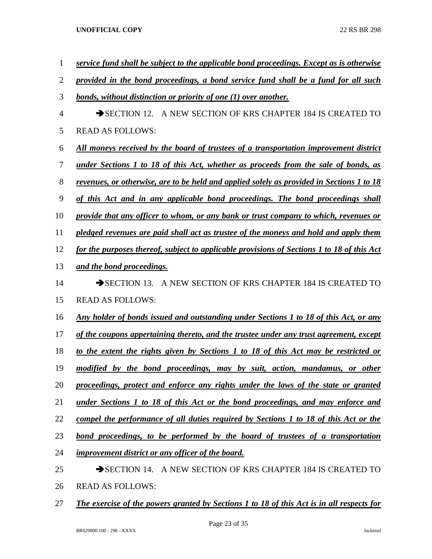| $\mathbf{1}$   | service fund shall be subject to the applicable bond proceedings. Except as is otherwise     |
|----------------|----------------------------------------------------------------------------------------------|
| $\overline{2}$ | provided in the bond proceedings, a bond service fund shall be a fund for all such           |
| 3              | bonds, without distinction or priority of one (1) over another.                              |
| $\overline{4}$ | SECTION 12. A NEW SECTION OF KRS CHAPTER 184 IS CREATED TO                                   |
| 5              | <b>READ AS FOLLOWS:</b>                                                                      |
| 6              | All moneys received by the board of trustees of a transportation improvement district        |
| $\tau$         | <u>under Sections 1 to 18 of this Act, whether as proceeds from the sale of bonds, as</u>    |
| 8              | revenues, or otherwise, are to be held and applied solely as provided in Sections 1 to 18    |
| 9              | of this Act and in any applicable bond proceedings. The bond proceedings shall               |
| 10             | provide that any officer to whom, or any bank or trust company to which, revenues or         |
| 11             | pledged revenues are paid shall act as trustee of the moneys and hold and apply them         |
| 12             | for the purposes thereof, subject to applicable provisions of Sections 1 to 18 of this Act   |
| 13             | and the bond proceedings.                                                                    |
| 14             | SECTION 13. A NEW SECTION OF KRS CHAPTER 184 IS CREATED TO                                   |
| 15             | <b>READ AS FOLLOWS:</b>                                                                      |
| 16             | <u>Any holder of bonds issued and outstanding under Sections 1 to 18 of this Act, or any</u> |
| 17             | of the coupons appertaining thereto, and the trustee under any trust agreement, except       |
| 18             | to the extent the rights given by Sections 1 to 18 of this Act may be restricted or          |
| 19             | modified by the bond proceedings, may by suit, action, mandamus, or other                    |
| 20             | proceedings, protect and enforce any rights under the laws of the state or granted           |
| 21             | under Sections 1 to 18 of this Act or the bond proceedings, and may enforce and              |
| 22             | compel the performance of all duties required by Sections 1 to 18 of this Act or the         |
| 23             | bond proceedings, to be performed by the board of trustees of a transportation               |
| 24             | improvement district or any officer of the board.                                            |
| 25             | SECTION 14. A NEW SECTION OF KRS CHAPTER 184 IS CREATED TO                                   |
| 26             | <b>READ AS FOLLOWS:</b>                                                                      |

*The exercise of the powers granted by Sections 1 to 18 of this Act is in all respects for*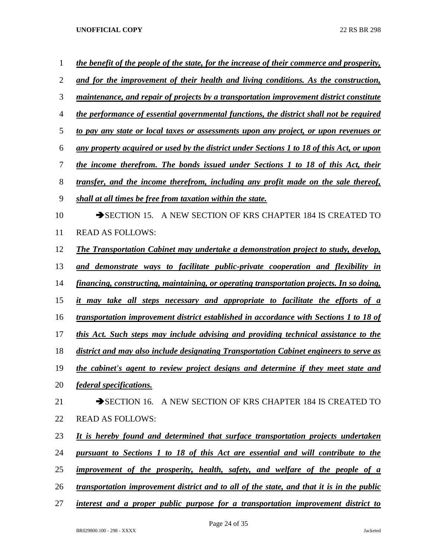| 1              | the benefit of the people of the state, for the increase of their commerce and prosperity, |
|----------------|--------------------------------------------------------------------------------------------|
| $\overline{2}$ | and for the improvement of their health and living conditions. As the construction,        |
| 3              | maintenance, and repair of projects by a transportation improvement district constitute    |
| $\overline{4}$ | the performance of essential governmental functions, the district shall not be required    |
| 5              | to pay any state or local taxes or assessments upon any project, or upon revenues or       |
| 6              | any property acquired or used by the district under Sections 1 to 18 of this Act, or upon  |
| 7              | the income therefrom. The bonds issued under Sections 1 to 18 of this Act, their           |
| 8              | transfer, and the income therefrom, including any profit made on the sale thereof,         |
| 9              | shall at all times be free from taxation within the state.                                 |
| 10             | SECTION 15. A NEW SECTION OF KRS CHAPTER 184 IS CREATED TO                                 |
| 11             | <b>READ AS FOLLOWS:</b>                                                                    |
| 12             | The Transportation Cabinet may undertake a demonstration project to study, develop,        |
| 13             | and demonstrate ways to facilitate public-private cooperation and flexibility in           |
| 14             | financing, constructing, maintaining, or operating transportation projects. In so doing,   |
| 15             | it may take all steps necessary and appropriate to facilitate the efforts of a             |
| 16             | transportation improvement district established in accordance with Sections 1 to 18 of     |
| 17             | this Act. Such steps may include advising and providing technical assistance to the        |
| 18             | district and may also include designating Transportation Cabinet engineers to serve as     |
| 19             | the cabinet's agent to review project designs and determine if they meet state and         |
| 20             | federal specifications.                                                                    |
| 21             | SECTION 16. A NEW SECTION OF KRS CHAPTER 184 IS CREATED TO                                 |
| 22             | <b>READ AS FOLLOWS:</b>                                                                    |
| 23             | It is hereby found and determined that surface transportation projects undertaken          |
| 24             | pursuant to Sections 1 to 18 of this Act are essential and will contribute to the          |
| 25             | improvement of the prosperity, health, safety, and welfare of the people of a              |
| 26             | transportation improvement district and to all of the state, and that it is in the public  |
| 27             | interest and a proper public purpose for a transportation improvement district to          |

Page 24 of 35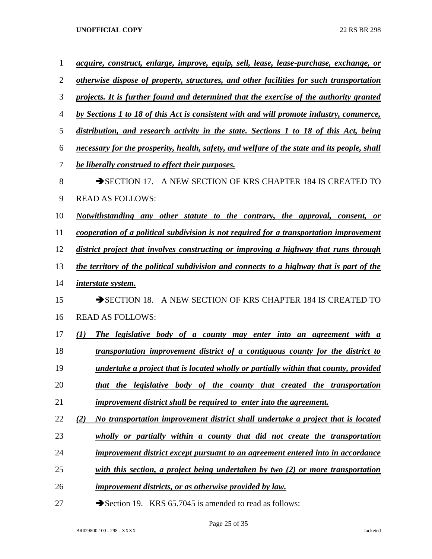| 1  | <u>acquire, construct, enlarge, improve, equip, sell, lease, lease-purchase, exchange, or</u> |
|----|-----------------------------------------------------------------------------------------------|
| 2  | otherwise dispose of property, structures, and other facilities for such transportation       |
| 3  | projects. It is further found and determined that the exercise of the authority granted       |
| 4  | by Sections 1 to 18 of this Act is consistent with and will promote industry, commerce,       |
| 5  | distribution, and research activity in the state. Sections 1 to 18 of this Act, being         |
| 6  | necessary for the prosperity, health, safety, and welfare of the state and its people, shall  |
| 7  | be liberally construed to effect their purposes.                                              |
| 8  | A NEW SECTION OF KRS CHAPTER 184 IS CREATED TO<br>$\rightarrow$ SECTION 17.                   |
| 9  | <b>READ AS FOLLOWS:</b>                                                                       |
| 10 | Notwithstanding any other statute to the contrary, the approval, consent,<br><b>or</b>        |
| 11 | cooperation of a political subdivision is not required for a transportation improvement       |
| 12 | district project that involves constructing or improving a highway that runs through          |
| 13 | the territory of the political subdivision and connects to a highway that is part of the      |
| 14 | <i>interstate system.</i>                                                                     |
| 15 | A NEW SECTION OF KRS CHAPTER 184 IS CREATED TO<br>$\rightarrow$ SECTION 18.                   |
| 16 | <b>READ AS FOLLOWS:</b>                                                                       |
| 17 | (I)<br>The legislative body of a county may enter into an agreement with a                    |
| 18 | transportation improvement district of a contiguous county for the district to                |
| 19 | undertake a project that is located wholly or partially within that county, provided          |
| 20 | that the legislative body of the county that created the transportation                       |
| 21 | <i>improvement district shall be required to enter into the agreement.</i>                    |
| 22 | (2)<br>No transportation improvement district shall undertake a project that is located       |
| 23 | wholly or partially within a county that did not create the transportation                    |
| 24 | <b>improvement district except pursuant to an agreement entered into in accordance</b>        |
| 25 | with this section, a project being undertaken by two (2) or more transportation               |
| 26 | <i>improvement districts, or as otherwise provided by law.</i>                                |
|    |                                                                                               |

27 Section 19. KRS 65.7045 is amended to read as follows: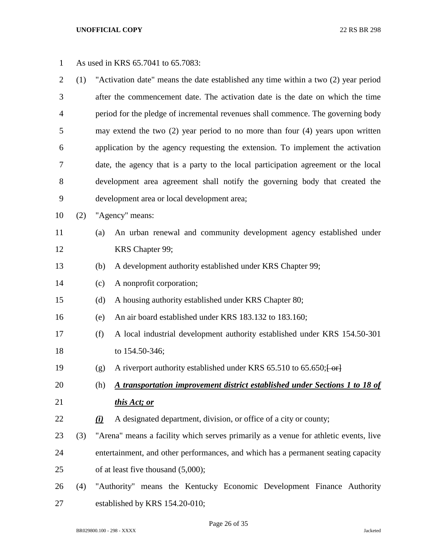| $\mathbf{1}$   |     | As used in KRS 65.7041 to 65.7083:                                                   |                                                                                    |  |  |  |
|----------------|-----|--------------------------------------------------------------------------------------|------------------------------------------------------------------------------------|--|--|--|
| $\overline{2}$ | (1) |                                                                                      | "Activation date" means the date established any time within a two (2) year period |  |  |  |
| 3              |     |                                                                                      | after the commencement date. The activation date is the date on which the time     |  |  |  |
| 4              |     |                                                                                      | period for the pledge of incremental revenues shall commence. The governing body   |  |  |  |
| 5              |     |                                                                                      | may extend the two $(2)$ year period to no more than four $(4)$ years upon written |  |  |  |
| 6              |     |                                                                                      | application by the agency requesting the extension. To implement the activation    |  |  |  |
| 7              |     |                                                                                      | date, the agency that is a party to the local participation agreement or the local |  |  |  |
| $8\,$          |     |                                                                                      | development area agreement shall notify the governing body that created the        |  |  |  |
| 9              |     |                                                                                      | development area or local development area;                                        |  |  |  |
| 10             | (2) |                                                                                      | "Agency" means:                                                                    |  |  |  |
| 11             |     | (a)                                                                                  | An urban renewal and community development agency established under                |  |  |  |
| 12             |     |                                                                                      | KRS Chapter 99;                                                                    |  |  |  |
| 13             |     | (b)                                                                                  | A development authority established under KRS Chapter 99;                          |  |  |  |
| 14             |     | (c)                                                                                  | A nonprofit corporation;                                                           |  |  |  |
| 15             |     | (d)                                                                                  | A housing authority established under KRS Chapter 80;                              |  |  |  |
| 16             |     | (e)                                                                                  | An air board established under KRS 183.132 to 183.160;                             |  |  |  |
| 17             |     | (f)                                                                                  | A local industrial development authority established under KRS 154.50-301          |  |  |  |
| 18             |     |                                                                                      | to 154.50-346;                                                                     |  |  |  |
| 19             |     | (g)                                                                                  | A riverport authority established under KRS 65.510 to 65.650; [ or]                |  |  |  |
| 20             |     | (h)                                                                                  | <u>A transportation improvement district established under Sections 1 to 18 of</u> |  |  |  |
| 21             |     |                                                                                      | this Act; or                                                                       |  |  |  |
| 22             |     | (i)                                                                                  | A designated department, division, or office of a city or county;                  |  |  |  |
| 23             | (3) | "Arena" means a facility which serves primarily as a venue for athletic events, live |                                                                                    |  |  |  |
| 24             |     |                                                                                      | entertainment, and other performances, and which has a permanent seating capacity  |  |  |  |
| 25             |     | of at least five thousand $(5,000)$ ;                                                |                                                                                    |  |  |  |
| 26             | (4) | "Authority" means the Kentucky Economic Development Finance Authority                |                                                                                    |  |  |  |
| 27             |     |                                                                                      | established by KRS 154.20-010;                                                     |  |  |  |

Page 26 of 35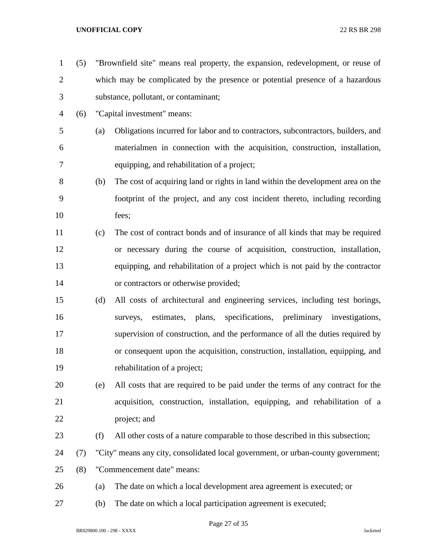(5) "Brownfield site" means real property, the expansion, redevelopment, or reuse of which may be complicated by the presence or potential presence of a hazardous substance, pollutant, or contaminant; (6) "Capital investment" means: (a) Obligations incurred for labor and to contractors, subcontractors, builders, and materialmen in connection with the acquisition, construction, installation, equipping, and rehabilitation of a project; (b) The cost of acquiring land or rights in land within the development area on the footprint of the project, and any cost incident thereto, including recording fees; (c) The cost of contract bonds and of insurance of all kinds that may be required or necessary during the course of acquisition, construction, installation, equipping, and rehabilitation of a project which is not paid by the contractor or contractors or otherwise provided; (d) All costs of architectural and engineering services, including test borings, surveys, estimates, plans, specifications, preliminary investigations, supervision of construction, and the performance of all the duties required by or consequent upon the acquisition, construction, installation, equipping, and rehabilitation of a project; (e) All costs that are required to be paid under the terms of any contract for the acquisition, construction, installation, equipping, and rehabilitation of a project; and (f) All other costs of a nature comparable to those described in this subsection; (7) "City" means any city, consolidated local government, or urban-county government; (8) "Commencement date" means: (a) The date on which a local development area agreement is executed; or (b) The date on which a local participation agreement is executed;

Page 27 of 35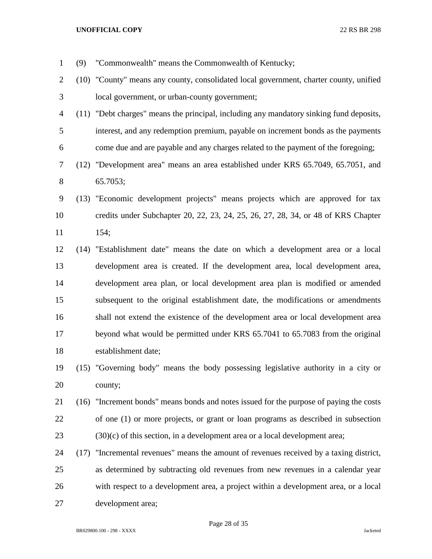- (9) "Commonwealth" means the Commonwealth of Kentucky; (10) "County" means any county, consolidated local government, charter county, unified local government, or urban-county government; (11) "Debt charges" means the principal, including any mandatory sinking fund deposits, interest, and any redemption premium, payable on increment bonds as the payments come due and are payable and any charges related to the payment of the foregoing; (12) "Development area" means an area established under KRS 65.7049, 65.7051, and 65.7053; (13) "Economic development projects" means projects which are approved for tax credits under Subchapter 20, 22, 23, 24, 25, 26, 27, 28, 34, or 48 of KRS Chapter 154; (14) "Establishment date" means the date on which a development area or a local development area is created. If the development area, local development area, development area plan, or local development area plan is modified or amended subsequent to the original establishment date, the modifications or amendments shall not extend the existence of the development area or local development area beyond what would be permitted under KRS 65.7041 to 65.7083 from the original establishment date; (15) "Governing body" means the body possessing legislative authority in a city or county; (16) "Increment bonds" means bonds and notes issued for the purpose of paying the costs of one (1) or more projects, or grant or loan programs as described in subsection (30)(c) of this section, in a development area or a local development area; (17) "Incremental revenues" means the amount of revenues received by a taxing district, as determined by subtracting old revenues from new revenues in a calendar year with respect to a development area, a project within a development area, or a local
- development area;

Page 28 of 35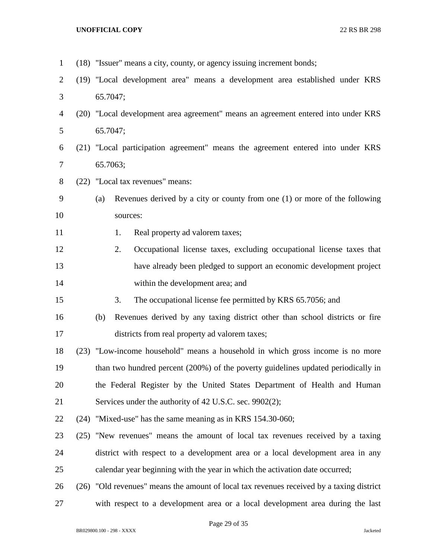| $\mathbf{1}$   | (18) "Issuer" means a city, county, or agency issuing increment bonds;                   |  |  |  |  |  |  |  |
|----------------|------------------------------------------------------------------------------------------|--|--|--|--|--|--|--|
| $\overline{2}$ | (19) "Local development area" means a development area established under KRS             |  |  |  |  |  |  |  |
| 3              | 65.7047;                                                                                 |  |  |  |  |  |  |  |
| 4              | (20) "Local development area agreement" means an agreement entered into under KRS        |  |  |  |  |  |  |  |
| 5              | 65.7047;                                                                                 |  |  |  |  |  |  |  |
| 6              | (21) "Local participation agreement" means the agreement entered into under KRS          |  |  |  |  |  |  |  |
| $\overline{7}$ | 65.7063;                                                                                 |  |  |  |  |  |  |  |
| $8\phantom{1}$ | (22) "Local tax revenues" means:                                                         |  |  |  |  |  |  |  |
| 9              | Revenues derived by a city or county from one (1) or more of the following<br>(a)        |  |  |  |  |  |  |  |
| 10             | sources:                                                                                 |  |  |  |  |  |  |  |
| 11             | Real property ad valorem taxes;<br>1.                                                    |  |  |  |  |  |  |  |
| 12             | 2.<br>Occupational license taxes, excluding occupational license taxes that              |  |  |  |  |  |  |  |
| 13             | have already been pledged to support an economic development project                     |  |  |  |  |  |  |  |
| 14             | within the development area; and                                                         |  |  |  |  |  |  |  |
| 15             | 3.<br>The occupational license fee permitted by KRS 65.7056; and                         |  |  |  |  |  |  |  |
| 16             | Revenues derived by any taxing district other than school districts or fire<br>(b)       |  |  |  |  |  |  |  |
| 17             | districts from real property ad valorem taxes;                                           |  |  |  |  |  |  |  |
| 18             | (23) "Low-income household" means a household in which gross income is no more           |  |  |  |  |  |  |  |
| 19             | than two hundred percent (200%) of the poverty guidelines updated periodically in        |  |  |  |  |  |  |  |
| 20             | the Federal Register by the United States Department of Health and Human                 |  |  |  |  |  |  |  |
| 21             | Services under the authority of 42 U.S.C. sec. 9902(2);                                  |  |  |  |  |  |  |  |
| 22             | (24) "Mixed-use" has the same meaning as in KRS 154.30-060;                              |  |  |  |  |  |  |  |
| 23             | (25) "New revenues" means the amount of local tax revenues received by a taxing          |  |  |  |  |  |  |  |
| 24             | district with respect to a development area or a local development area in any           |  |  |  |  |  |  |  |
| 25             | calendar year beginning with the year in which the activation date occurred;             |  |  |  |  |  |  |  |
| 26             | (26) "Old revenues" means the amount of local tax revenues received by a taxing district |  |  |  |  |  |  |  |
| 27             | with respect to a development area or a local development area during the last           |  |  |  |  |  |  |  |

Page 29 of 35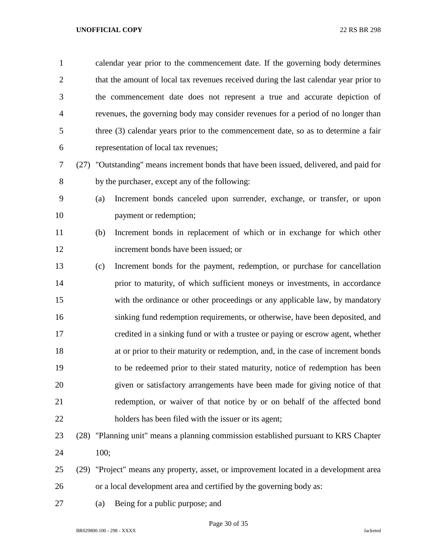| $\mathbf{1}$   |      | calendar year prior to the commencement date. If the governing body determines        |                                                                                   |  |  |  |  |
|----------------|------|---------------------------------------------------------------------------------------|-----------------------------------------------------------------------------------|--|--|--|--|
| $\overline{2}$ |      | that the amount of local tax revenues received during the last calendar year prior to |                                                                                   |  |  |  |  |
| 3              |      |                                                                                       | the commencement date does not represent a true and accurate depiction of         |  |  |  |  |
| $\overline{4}$ |      | revenues, the governing body may consider revenues for a period of no longer than     |                                                                                   |  |  |  |  |
| 5              |      | three (3) calendar years prior to the commencement date, so as to determine a fair    |                                                                                   |  |  |  |  |
| 6              |      | representation of local tax revenues;                                                 |                                                                                   |  |  |  |  |
| 7              | (27) | "Outstanding" means increment bonds that have been issued, delivered, and paid for    |                                                                                   |  |  |  |  |
| 8              |      | by the purchaser, except any of the following:                                        |                                                                                   |  |  |  |  |
| 9              |      | (a)                                                                                   | Increment bonds canceled upon surrender, exchange, or transfer, or upon           |  |  |  |  |
| 10             |      |                                                                                       | payment or redemption;                                                            |  |  |  |  |
| 11             |      | (b)                                                                                   | Increment bonds in replacement of which or in exchange for which other            |  |  |  |  |
| 12             |      |                                                                                       | increment bonds have been issued; or                                              |  |  |  |  |
| 13             |      | (c)                                                                                   | Increment bonds for the payment, redemption, or purchase for cancellation         |  |  |  |  |
| 14             |      |                                                                                       | prior to maturity, of which sufficient moneys or investments, in accordance       |  |  |  |  |
| 15             |      |                                                                                       | with the ordinance or other proceedings or any applicable law, by mandatory       |  |  |  |  |
| 16             |      |                                                                                       | sinking fund redemption requirements, or otherwise, have been deposited, and      |  |  |  |  |
| 17             |      |                                                                                       | credited in a sinking fund or with a trustee or paying or escrow agent, whether   |  |  |  |  |
| 18             |      |                                                                                       | at or prior to their maturity or redemption, and, in the case of increment bonds  |  |  |  |  |
| 19             |      |                                                                                       | to be redeemed prior to their stated maturity, notice of redemption has been      |  |  |  |  |
| 20             |      |                                                                                       | given or satisfactory arrangements have been made for giving notice of that       |  |  |  |  |
| 21             |      |                                                                                       | redemption, or waiver of that notice by or on behalf of the affected bond         |  |  |  |  |
| 22             |      |                                                                                       | holders has been filed with the issuer or its agent;                              |  |  |  |  |
| 23             | (28) |                                                                                       | "Planning unit" means a planning commission established pursuant to KRS Chapter   |  |  |  |  |
| 24             |      | 100;                                                                                  |                                                                                   |  |  |  |  |
| 25             | (29) |                                                                                       | "Project" means any property, asset, or improvement located in a development area |  |  |  |  |

- or a local development area and certified by the governing body as:
- (a) Being for a public purpose; and

Page 30 of 35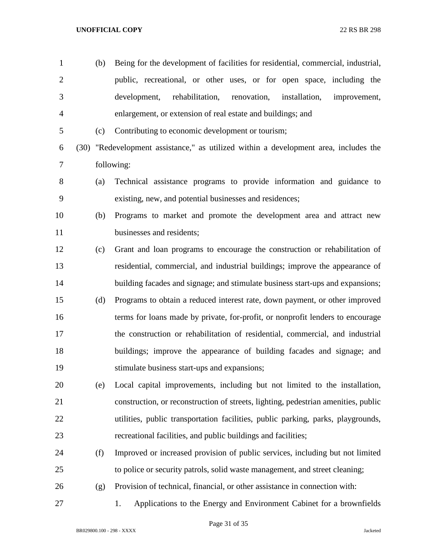public, recreational, or other uses, or for open space, including the development, rehabilitation, renovation, installation, improvement, enlargement, or extension of real estate and buildings; and (c) Contributing to economic development or tourism; (30) "Redevelopment assistance," as utilized within a development area, includes the following: (a) Technical assistance programs to provide information and guidance to existing, new, and potential businesses and residences; (b) Programs to market and promote the development area and attract new businesses and residents; (c) Grant and loan programs to encourage the construction or rehabilitation of residential, commercial, and industrial buildings; improve the appearance of building facades and signage; and stimulate business start-ups and expansions; (d) Programs to obtain a reduced interest rate, down payment, or other improved terms for loans made by private, for-profit, or nonprofit lenders to encourage the construction or rehabilitation of residential, commercial, and industrial buildings; improve the appearance of building facades and signage; and stimulate business start-ups and expansions; (e) Local capital improvements, including but not limited to the installation, construction, or reconstruction of streets, lighting, pedestrian amenities, public utilities, public transportation facilities, public parking, parks, playgrounds, recreational facilities, and public buildings and facilities; (f) Improved or increased provision of public services, including but not limited to police or security patrols, solid waste management, and street cleaning;

(b) Being for the development of facilities for residential, commercial, industrial,

- (g) Provision of technical, financial, or other assistance in connection with:
- 1. Applications to the Energy and Environment Cabinet for a brownfields
	- BR029800.100 298 XXXX Jacketed

Page 31 of 35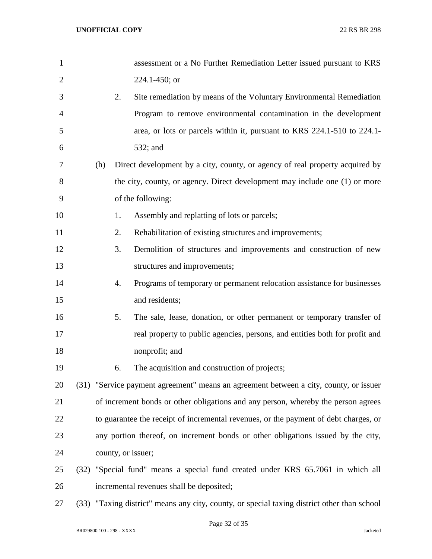| $\mathbf{1}$   |     |                                                                                      | assessment or a No Further Remediation Letter issued pursuant to KRS                  |  |  |  |  |  |
|----------------|-----|--------------------------------------------------------------------------------------|---------------------------------------------------------------------------------------|--|--|--|--|--|
| $\overline{2}$ |     |                                                                                      | 224.1-450; or                                                                         |  |  |  |  |  |
| 3              |     | 2.                                                                                   | Site remediation by means of the Voluntary Environmental Remediation                  |  |  |  |  |  |
| 4              |     |                                                                                      | Program to remove environmental contamination in the development                      |  |  |  |  |  |
| 5              |     |                                                                                      | area, or lots or parcels within it, pursuant to KRS 224.1-510 to 224.1-               |  |  |  |  |  |
| 6              |     |                                                                                      | 532; and                                                                              |  |  |  |  |  |
| 7              | (h) |                                                                                      | Direct development by a city, county, or agency of real property acquired by          |  |  |  |  |  |
| 8              |     |                                                                                      | the city, county, or agency. Direct development may include one (1) or more           |  |  |  |  |  |
| 9              |     |                                                                                      | of the following:                                                                     |  |  |  |  |  |
| 10             |     | 1.                                                                                   | Assembly and replatting of lots or parcels;                                           |  |  |  |  |  |
| 11             |     | 2.                                                                                   | Rehabilitation of existing structures and improvements;                               |  |  |  |  |  |
| 12             |     | 3.                                                                                   | Demolition of structures and improvements and construction of new                     |  |  |  |  |  |
| 13             |     |                                                                                      | structures and improvements;                                                          |  |  |  |  |  |
| 14             |     | 4.                                                                                   | Programs of temporary or permanent relocation assistance for businesses               |  |  |  |  |  |
| 15             |     |                                                                                      | and residents;                                                                        |  |  |  |  |  |
| 16             |     | 5.                                                                                   | The sale, lease, donation, or other permanent or temporary transfer of                |  |  |  |  |  |
| 17             |     |                                                                                      | real property to public agencies, persons, and entities both for profit and           |  |  |  |  |  |
| 18             |     |                                                                                      | nonprofit; and                                                                        |  |  |  |  |  |
| 19             |     | 6.                                                                                   | The acquisition and construction of projects;                                         |  |  |  |  |  |
| 20             |     |                                                                                      | (31) "Service payment agreement" means an agreement between a city, county, or issuer |  |  |  |  |  |
| 21             |     |                                                                                      | of increment bonds or other obligations and any person, whereby the person agrees     |  |  |  |  |  |
| 22             |     | to guarantee the receipt of incremental revenues, or the payment of debt charges, or |                                                                                       |  |  |  |  |  |
| 23             |     |                                                                                      | any portion thereof, on increment bonds or other obligations issued by the city,      |  |  |  |  |  |
| 24             |     |                                                                                      | county, or issuer;                                                                    |  |  |  |  |  |
| 25             |     |                                                                                      | (32) "Special fund" means a special fund created under KRS 65.7061 in which all       |  |  |  |  |  |
| 26             |     |                                                                                      | incremental revenues shall be deposited;                                              |  |  |  |  |  |

(33) "Taxing district" means any city, county, or special taxing district other than school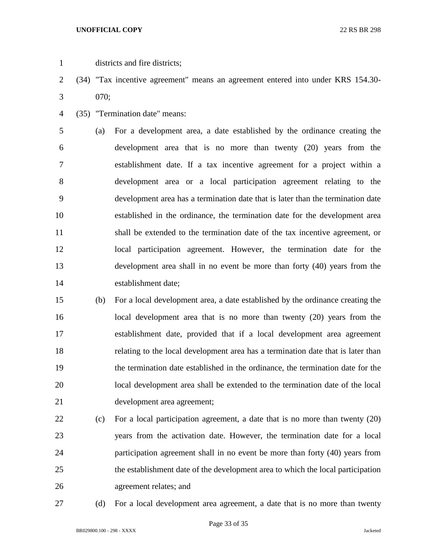- districts and fire districts;
- (34) "Tax incentive agreement" means an agreement entered into under KRS 154.30- 070;
- (35) "Termination date" means:

 (a) For a development area, a date established by the ordinance creating the development area that is no more than twenty (20) years from the establishment date. If a tax incentive agreement for a project within a development area or a local participation agreement relating to the development area has a termination date that is later than the termination date established in the ordinance, the termination date for the development area shall be extended to the termination date of the tax incentive agreement, or local participation agreement. However, the termination date for the development area shall in no event be more than forty (40) years from the establishment date;

- (b) For a local development area, a date established by the ordinance creating the local development area that is no more than twenty (20) years from the establishment date, provided that if a local development area agreement relating to the local development area has a termination date that is later than the termination date established in the ordinance, the termination date for the local development area shall be extended to the termination date of the local development area agreement;
- (c) For a local participation agreement, a date that is no more than twenty (20) years from the activation date. However, the termination date for a local participation agreement shall in no event be more than forty (40) years from the establishment date of the development area to which the local participation agreement relates; and
- 

(d) For a local development area agreement, a date that is no more than twenty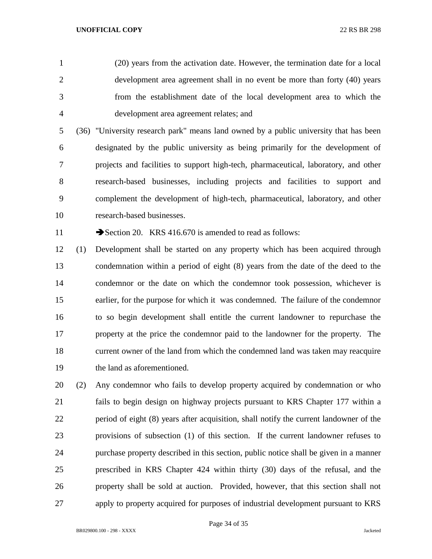(20) years from the activation date. However, the termination date for a local development area agreement shall in no event be more than forty (40) years from the establishment date of the local development area to which the development area agreement relates; and

 (36) "University research park" means land owned by a public university that has been designated by the public university as being primarily for the development of projects and facilities to support high-tech, pharmaceutical, laboratory, and other research-based businesses, including projects and facilities to support and complement the development of high-tech, pharmaceutical, laboratory, and other research-based businesses.

11 Section 20. KRS 416.670 is amended to read as follows:

 (1) Development shall be started on any property which has been acquired through condemnation within a period of eight (8) years from the date of the deed to the condemnor or the date on which the condemnor took possession, whichever is earlier, for the purpose for which it was condemned. The failure of the condemnor to so begin development shall entitle the current landowner to repurchase the property at the price the condemnor paid to the landowner for the property. The current owner of the land from which the condemned land was taken may reacquire the land as aforementioned.

 (2) Any condemnor who fails to develop property acquired by condemnation or who fails to begin design on highway projects pursuant to KRS Chapter 177 within a period of eight (8) years after acquisition, shall notify the current landowner of the provisions of subsection (1) of this section. If the current landowner refuses to purchase property described in this section, public notice shall be given in a manner prescribed in KRS Chapter 424 within thirty (30) days of the refusal, and the property shall be sold at auction. Provided, however, that this section shall not apply to property acquired for purposes of industrial development pursuant to KRS